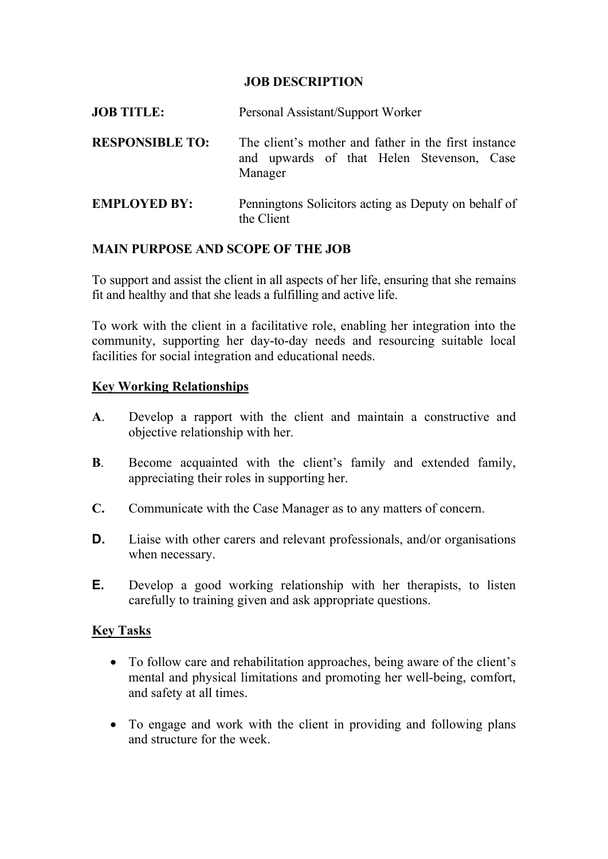## JOB DESCRIPTION

| <b>JOB TITLE:</b>      | Personal Assistant/Support Worker                                                                            |
|------------------------|--------------------------------------------------------------------------------------------------------------|
| <b>RESPONSIBLE TO:</b> | The client's mother and father in the first instance<br>and upwards of that Helen Stevenson, Case<br>Manager |
| <b>EMPLOYED BY:</b>    | Penningtons Solicitors acting as Deputy on behalf of<br>the Client                                           |

#### MAIN PURPOSE AND SCOPE OF THE JOB

To support and assist the client in all aspects of her life, ensuring that she remains fit and healthy and that she leads a fulfilling and active life.

To work with the client in a facilitative role, enabling her integration into the community, supporting her day-to-day needs and resourcing suitable local facilities for social integration and educational needs.

#### Key Working Relationships

- A. Develop a rapport with the client and maintain a constructive and objective relationship with her.
- B. Become acquainted with the client's family and extended family, appreciating their roles in supporting her.
- C. Communicate with the Case Manager as to any matters of concern.
- **D.** Liaise with other carers and relevant professionals, and/or organisations when necessary.
- E. Develop a good working relationship with her therapists, to listen carefully to training given and ask appropriate questions.

## Key Tasks

- To follow care and rehabilitation approaches, being aware of the client's mental and physical limitations and promoting her well-being, comfort, and safety at all times.
- To engage and work with the client in providing and following plans and structure for the week.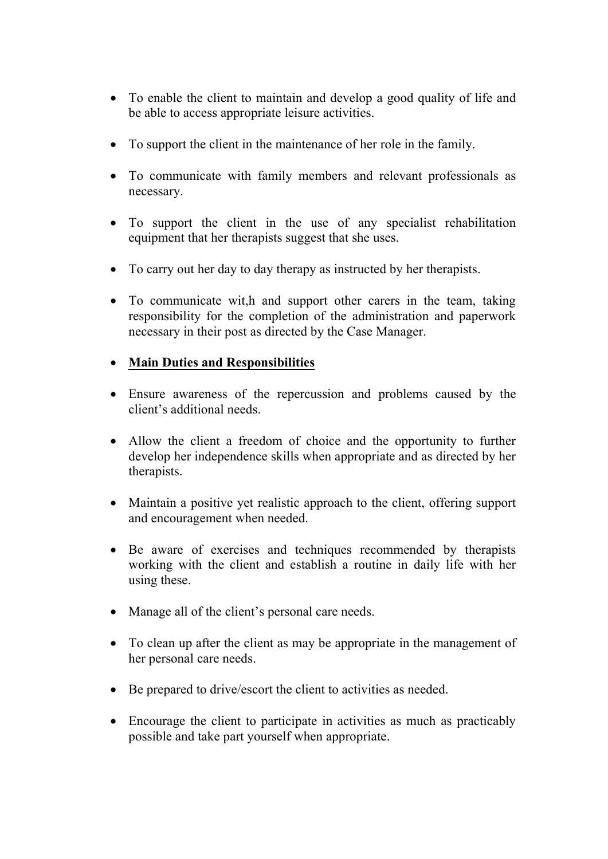- To enable the client to maintain and develop a good quality of life and be able to access appropriate leisure activities.
- To support the client in the maintenance of her role in the family.
- To communicate with family members and relevant professionals as necessary.
- To support the client in the use of any specialist rehabilitation equipment that her therapists suggest that she uses.
- To carry out her day to day therapy as instructed by her therapists.
- To communicate wit,h and support other carers in the team, taking responsibility for the completion of the administration and paperwork necessary in their post as directed by the Case Manager.

## • Main Duties and Responsibilities

- Ensure awareness of the repercussion and problems caused by the client's additional needs.
- Allow the client a freedom of choice and the opportunity to further develop her independence skills when appropriate and as directed by her therapists.
- Maintain a positive yet realistic approach to the client, offering support and encouragement when needed.
- Be aware of exercises and techniques recommended by therapists working with the client and establish a routine in daily life with her using these.
- Manage all of the client's personal care needs.
- To clean up after the client as may be appropriate in the management of her personal care needs.
- Be prepared to drive/escort the client to activities as needed.
- Encourage the client to participate in activities as much as practicably possible and take part yourself when appropriate.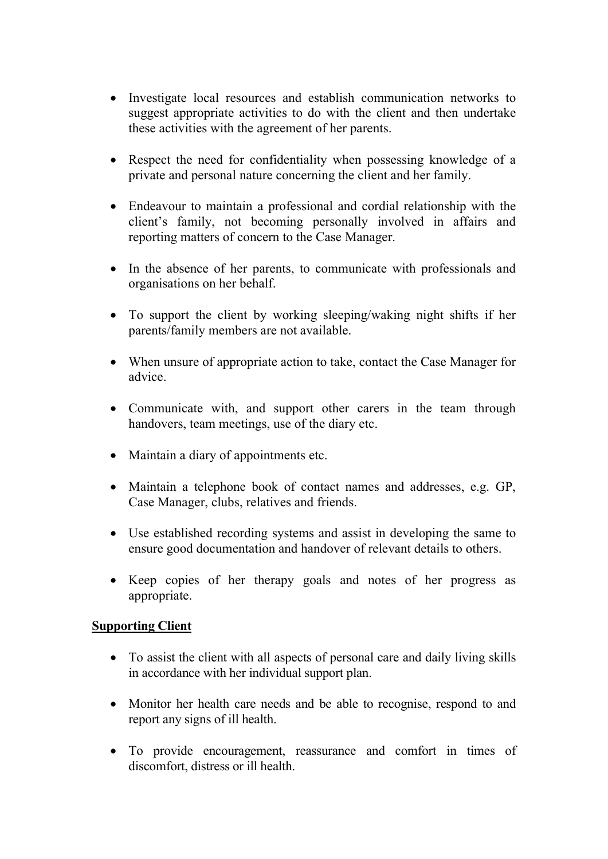- Investigate local resources and establish communication networks to suggest appropriate activities to do with the client and then undertake these activities with the agreement of her parents.
- Respect the need for confidentiality when possessing knowledge of a private and personal nature concerning the client and her family.
- Endeavour to maintain a professional and cordial relationship with the client's family, not becoming personally involved in affairs and reporting matters of concern to the Case Manager.
- In the absence of her parents, to communicate with professionals and organisations on her behalf.
- To support the client by working sleeping/waking night shifts if her parents/family members are not available.
- When unsure of appropriate action to take, contact the Case Manager for advice.
- Communicate with, and support other carers in the team through handovers, team meetings, use of the diary etc.
- Maintain a diary of appointments etc.
- Maintain a telephone book of contact names and addresses, e.g. GP, Case Manager, clubs, relatives and friends.
- Use established recording systems and assist in developing the same to ensure good documentation and handover of relevant details to others.
- Keep copies of her therapy goals and notes of her progress as appropriate.

## **Supporting Client**

- To assist the client with all aspects of personal care and daily living skills in accordance with her individual support plan.
- Monitor her health care needs and be able to recognise, respond to and report any signs of ill health.
- To provide encouragement, reassurance and comfort in times of discomfort, distress or ill health.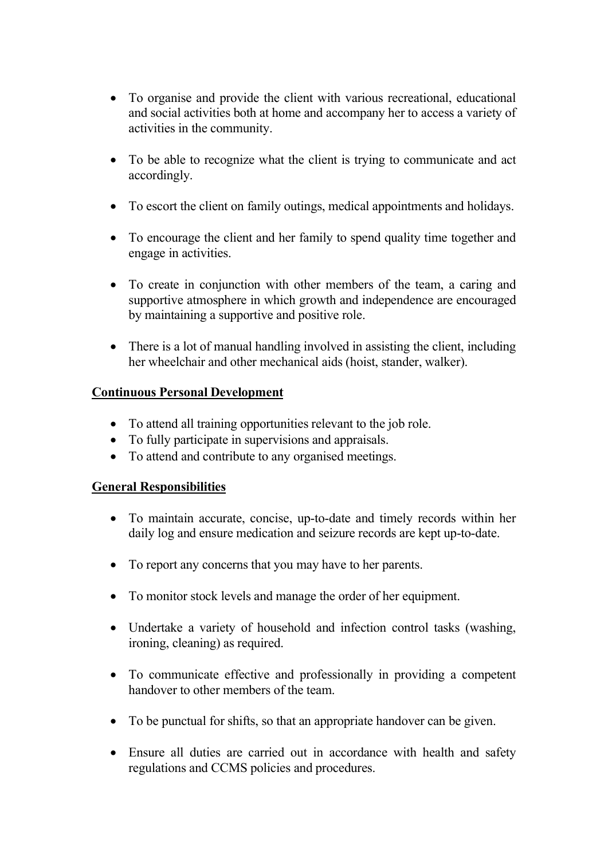- To organise and provide the client with various recreational, educational and social activities both at home and accompany her to access a variety of activities in the community.
- To be able to recognize what the client is trying to communicate and act accordingly.
- To escort the client on family outings, medical appointments and holidays.
- To encourage the client and her family to spend quality time together and engage in activities.
- To create in conjunction with other members of the team, a caring and supportive atmosphere in which growth and independence are encouraged by maintaining a supportive and positive role.
- There is a lot of manual handling involved in assisting the client, including her wheelchair and other mechanical aids (hoist, stander, walker).

# Continuous Personal Development

- To attend all training opportunities relevant to the job role.
- To fully participate in supervisions and appraisals.
- To attend and contribute to any organised meetings.

# General Responsibilities

- To maintain accurate, concise, up-to-date and timely records within her daily log and ensure medication and seizure records are kept up-to-date.
- To report any concerns that you may have to her parents.
- To monitor stock levels and manage the order of her equipment.
- Undertake a variety of household and infection control tasks (washing, ironing, cleaning) as required.
- To communicate effective and professionally in providing a competent handover to other members of the team.
- To be punctual for shifts, so that an appropriate handover can be given.
- Ensure all duties are carried out in accordance with health and safety regulations and CCMS policies and procedures.